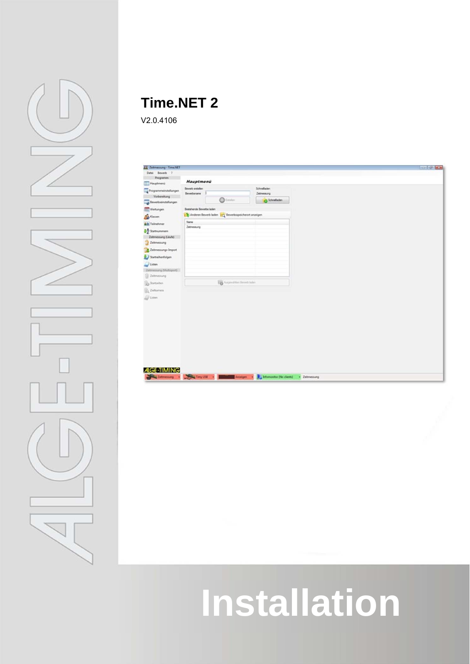

## **Time.NET 2**

V2.0.4106

| <b>Il Zetmessung - Time NET</b> |                                             |                                                     |                           |  | $-10.50$ |
|---------------------------------|---------------------------------------------|-----------------------------------------------------|---------------------------|--|----------|
| Datei Bewerb ?                  |                                             |                                                     |                           |  |          |
| Programm                        |                                             |                                                     |                           |  |          |
| Hauptmenä                       | Hauptmenü                                   |                                                     |                           |  |          |
| The Programmeinstellungen       | <b>Bevet estates</b><br><b>Deverbanisme</b> |                                                     | Schnelladen<br>Zebnessung |  |          |
| Vorbereitung                    |                                             | $\bigcirc$ in the $\bigcirc$                        | O Schneiladen             |  |          |
| Beverbreinstellungen            |                                             |                                                     |                           |  |          |
| <b>STE</b> Wertungen            | <b>Bestehende Bewerbe laden</b>             |                                                     |                           |  |          |
| <b>B</b> Causes                 |                                             | Anderen Bewerk laden 10 Bewerksspeicherort anzeigen |                           |  |          |
| Alt Telnehmer                   | Name<br>Zeitnessung                         |                                                     |                           |  |          |
| <b>M</b> Statisummen            |                                             |                                                     |                           |  |          |
| Zeitmessung (Liufe)             |                                             |                                                     |                           |  |          |
| Zeitmessung                     |                                             |                                                     |                           |  |          |
| Zehnessungs-Import              |                                             |                                                     |                           |  |          |
| Statisherfolgen                 |                                             |                                                     |                           |  |          |
| Unten                           |                                             |                                                     |                           |  |          |
| Zehnesung (Multiport)           |                                             |                                                     |                           |  |          |
| <b>Zelmessing</b>               |                                             |                                                     |                           |  |          |
| <b>Statister</b>                |                                             | <b>B</b> Aspective freest later                     |                           |  |          |
| Ch Zehanen                      |                                             |                                                     |                           |  |          |
| <b>Sill</b> Unen                |                                             |                                                     |                           |  |          |
|                                 |                                             |                                                     |                           |  |          |
|                                 |                                             |                                                     |                           |  |          |
|                                 |                                             |                                                     |                           |  |          |
|                                 |                                             |                                                     |                           |  |          |
|                                 |                                             |                                                     |                           |  |          |
|                                 |                                             |                                                     |                           |  |          |
|                                 |                                             |                                                     |                           |  |          |
|                                 |                                             |                                                     |                           |  |          |
|                                 |                                             |                                                     |                           |  |          |
|                                 |                                             |                                                     |                           |  |          |
|                                 |                                             |                                                     |                           |  |          |
|                                 |                                             |                                                     |                           |  |          |
| <b>ALGE-TIMING</b>              |                                             |                                                     |                           |  |          |

# **Installation**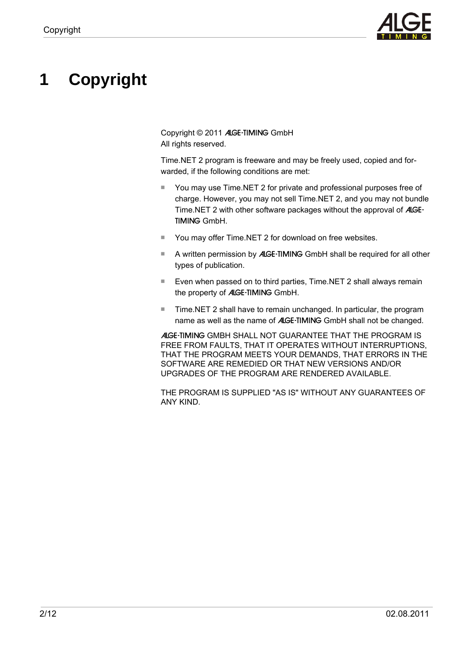

# **1 Copyright**

Copyright © 2011 ALGE-TIMING GmbH All rights reserved.

Time.NET 2 program is freeware and may be freely used, copied and forwarded, if the following conditions are met:

- You may use Time.NET 2 for private and professional purposes free of charge. However, you may not sell Time.NET 2, and you may not bundle Time.NET 2 with other software packages without the approval of ALGE-TIMING GmbH.
- You may offer Time.NET 2 for download on free websites.
- A written permission by ALGE-TIMING GmbH shall be required for all other types of publication.
- Even when passed on to third parties, Time.NET 2 shall always remain the property of ALGE-TIMING GmbH.
- Time.NET 2 shall have to remain unchanged. In particular, the program name as well as the name of ALGE-TIMING GmbH shall not be changed.

ALGE-TIMING GMBH SHALL NOT GUARANTEE THAT THE PROGRAM IS FREE FROM FAULTS, THAT IT OPERATES WITHOUT INTERRUPTIONS, THAT THE PROGRAM MEETS YOUR DEMANDS, THAT ERRORS IN THE SOFTWARE ARE REMEDIED OR THAT NEW VERSIONS AND/OR UPGRADES OF THE PROGRAM ARE RENDERED AVAILABLE.

THE PROGRAM IS SUPPLIED "AS IS" WITHOUT ANY GUARANTEES OF ANY KIND.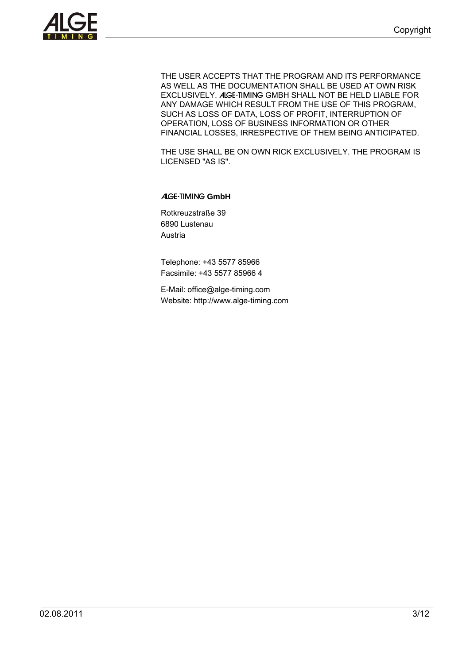

THE USER ACCEPTS THAT THE PROGRAM AND ITS PERFORMANCE AS WELL AS THE DOCUMENTATION SHALL BE USED AT OWN RISK EXCLUSIVELY. ALGE-TIMING GMBH SHALL NOT BE HELD LIABLE FOR ANY DAMAGE WHICH RESULT FROM THE USE OF THIS PROGRAM, SUCH AS LOSS OF DATA, LOSS OF PROFIT, INTERRUPTION OF OPERATION, LOSS OF BUSINESS INFORMATION OR OTHER FINANCIAL LOSSES, IRRESPECTIVE OF THEM BEING ANTICIPATED.

THE USE SHALL BE ON OWN RICK EXCLUSIVELY. THE PROGRAM IS LICENSED "AS IS".

ALGE-TIMING **GmbH**

Rotkreuzstraße 39 6890 Lustenau Austria

Telephone: +43 5577 85966 Facsimile: +43 5577 85966 4

E-Mail: office@alge-timing.com Website: http://www.alge-timing.com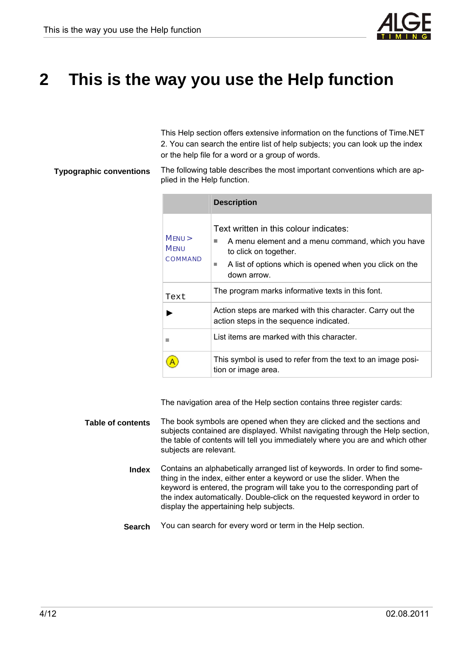

# **2 This is the way you use the Help function**

This Help section offers extensive information on the functions of Time.NET 2. You can search the entire list of help subjects; you can look up the index or the help file for a word or a group of words.

#### The following table describes the most important conventions which are applied in the Help function. **Typographic conventions**

|                                  | <b>Description</b>                                                                                                                                                                                        |
|----------------------------------|-----------------------------------------------------------------------------------------------------------------------------------------------------------------------------------------------------------|
| MENU ><br><b>MENU</b><br>COMMAND | Text written in this colour indicates:<br>A menu element and a menu command, which you have<br>٠<br>to click on together.<br>A list of options which is opened when you click on the<br>m.<br>down arrow. |
| Text                             | The program marks informative texts in this font.                                                                                                                                                         |
|                                  | Action steps are marked with this character. Carry out the<br>action steps in the sequence indicated.                                                                                                     |
|                                  | List items are marked with this character.                                                                                                                                                                |
|                                  | This symbol is used to refer from the text to an image posi-<br>tion or image area.                                                                                                                       |

The navigation area of the Help section contains three register cards:

- The book symbols are opened when they are clicked and the sections and subjects contained are displayed. Whilst navigating through the Help section, the table of contents will tell you immediately where you are and which other subjects are relevant. **Table of contents** 
	- Contains an alphabetically arranged list of keywords. In order to find something in the index, either enter a keyword or use the slider. When the keyword is entered, the program will take you to the corresponding part of the index automatically. Double-click on the requested keyword in order to display the appertaining help subjects. **Index**
	- You can search for every word or term in the Help section. **Search**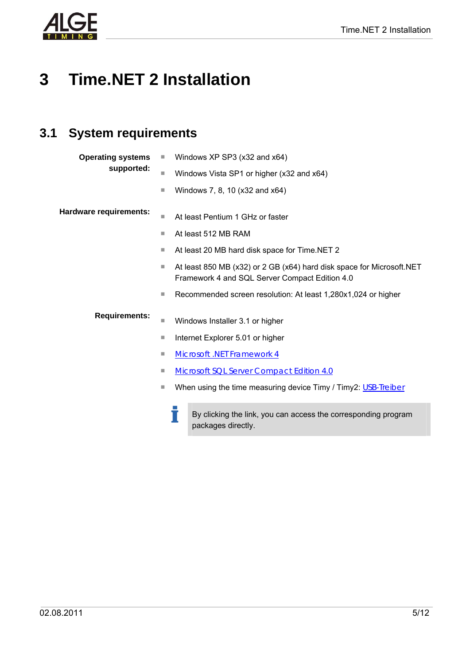

# **3 Time.NET 2 Installation**

### **3.1 System requirements**

| <b>Operating systems</b> | u | Windows XP SP3 (x32 and x64)                                                                                             |
|--------------------------|---|--------------------------------------------------------------------------------------------------------------------------|
| supported:               | ш | Windows Vista SP1 or higher (x32 and x64)                                                                                |
|                          | ш | Windows 7, 8, 10 (x32 and x64)                                                                                           |
| Hardware requirements:   | п | At least Pentium 1 GHz or faster                                                                                         |
|                          | Ш | At least 512 MB RAM                                                                                                      |
|                          | Ш | At least 20 MB hard disk space for Time.NET 2                                                                            |
|                          | Ш | At least 850 MB (x32) or 2 GB (x64) hard disk space for Microsoft. NET<br>Framework 4 and SQL Server Compact Edition 4.0 |
|                          | ш | Recommended screen resolution: At least 1,280x1,024 or higher                                                            |
| <b>Requirements:</b>     | ш | Windows Installer 3.1 or higher                                                                                          |
|                          | ш | Internet Explorer 5.01 or higher                                                                                         |
|                          | Ш | <b>Microsoft .NET Framework 4</b>                                                                                        |
|                          | Ш | <b>Microsoft SQL Server Compact Edition 4.0</b>                                                                          |
|                          | ш | When using the time measuring device Timy / Timy2: USB-Treiber                                                           |
|                          |   | By clicking the link, you can access the corresponding program                                                           |

By clicking the link, you can access the corresponding program packages directly.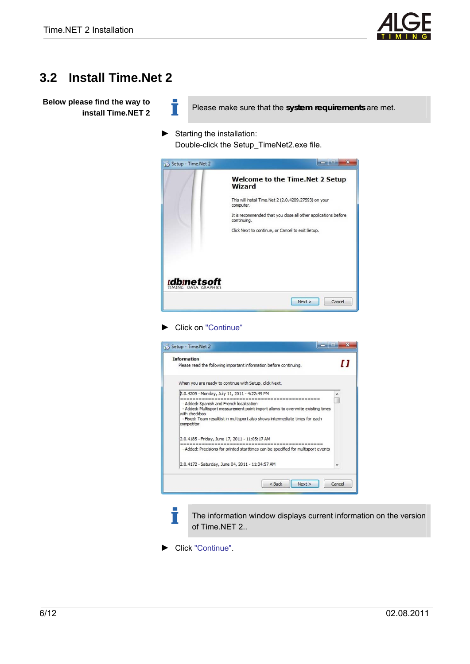

#### **3.2 Install Time.Net 2**

**Below please find the way to install Time.NET 2** 

Please make sure that the *system requirements* are met.

► Starting the installation:

Ť

Double-click the Setup\_TimeNet2.exe file.



#### ► Click on "Continue"

| <b>Information</b><br>Please read the following important information before continuing. |                                                                                   | [] |
|------------------------------------------------------------------------------------------|-----------------------------------------------------------------------------------|----|
| When you are ready to continue with Setup, click Next.                                   |                                                                                   |    |
| 2.0.4209 - Monday, July 11, 2011 - 4:22:49 PM                                            |                                                                                   |    |
| - Added: Spanish and French localization                                                 |                                                                                   |    |
|                                                                                          | - Added: Multisport measurement point import allows to overwrite existing times   |    |
| with checkbox                                                                            | - Fixed: Team resultlist in multisport also shows intermediate times for each     |    |
| competitor                                                                               |                                                                                   |    |
| 2.0.4185 - Friday, June 17, 2011 - 11:05:17 AM                                           |                                                                                   |    |
|                                                                                          |                                                                                   |    |
|                                                                                          | - Added: Precisions for printed starttimes can be specified for multisport events |    |
| 2.0.4172 - Saturday, June 04, 2011 - 11:34:57 AM                                         |                                                                                   |    |
|                                                                                          |                                                                                   |    |

The information window displays current information on the version of Time.NET 2..

► Click "Continue".

Т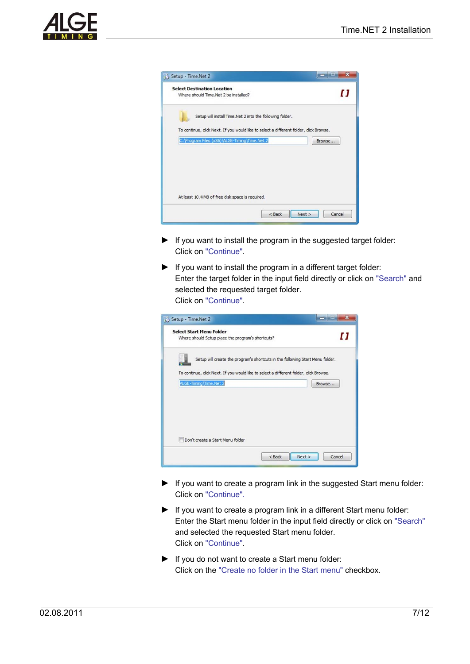

| Where should Time.Net 2 be installed?                                                                                                  | O      |
|----------------------------------------------------------------------------------------------------------------------------------------|--------|
| Setup will install Time. Net 2 into the following folder.                                                                              |        |
| To continue, dick Next. If you would like to select a different folder, dick Browse.<br>C: \Program Files (x86)\ALGE-Timing\Time.Net 2 | Browse |
|                                                                                                                                        |        |
|                                                                                                                                        |        |

- ► If you want to install the program in the suggested target folder: Click on "Continue".
- ► If you want to install the program in a different target folder: Enter the target folder in the input field directly or click on "Search" and selected the requested target folder. Click on "Continue".

| Where should Setup place the program's shortcuts?                                      |                                                                               | []     |
|----------------------------------------------------------------------------------------|-------------------------------------------------------------------------------|--------|
|                                                                                        | Setup will create the program's shortcuts in the following Start Menu folder. |        |
| To continue, click Next. If you would like to select a different folder, click Browse. |                                                                               |        |
| ALGE-Timing\Time.Net 2                                                                 |                                                                               | Browse |
|                                                                                        |                                                                               |        |
|                                                                                        |                                                                               |        |
|                                                                                        |                                                                               |        |
|                                                                                        |                                                                               |        |
|                                                                                        |                                                                               |        |

- ► If you want to create a program link in the suggested Start menu folder: Click on "Continue".
- ► If you want to create a program link in a different Start menu folder: Enter the Start menu folder in the input field directly or click on "Search" and selected the requested Start menu folder. Click on "Continue".
- ► If you do not want to create a Start menu folder: Click on the "Create no folder in the Start menu" checkbox.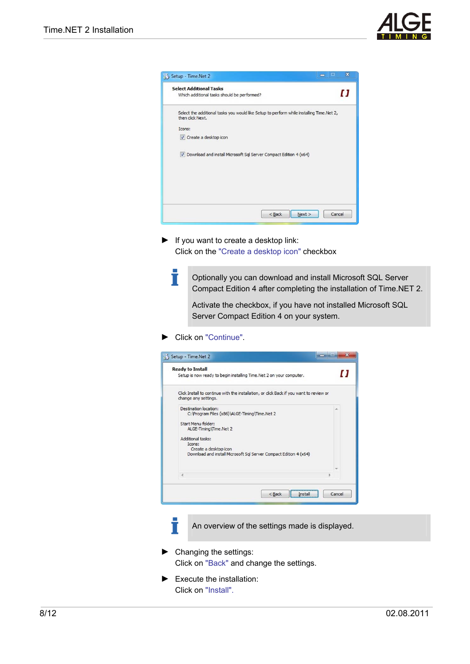



► If you want to create a desktop link: Click on the "Create a desktop icon" checkbox

> Optionally you can download and install Microsoft SQL Server Compact Edition 4 after completing the installation of Time.NET 2.

Activate the checkbox, if you have not installed Microsoft SQL Server Compact Edition 4 on your system.

► Click on "Continue".

Т

| <b>Ready to Install</b><br>Setup is now ready to begin installing Time. Net 2 on your computer.                           | [] |
|---------------------------------------------------------------------------------------------------------------------------|----|
| Click Install to continue with the installation, or click Back if you want to review or<br>change any settings.           |    |
| Destination location:<br>C: \Program Files (x86)\ALGE-Timing\Time.Net 2                                                   | ×. |
| Start Menu folder:<br>ALGE-Timing\Time.Net 2                                                                              |    |
| Additional tasks:<br>Icons:<br>Create a desktop icon<br>Download and install Microsoft Sql Server Compact Edition 4 (x64) |    |
| ٠                                                                                                                         |    |
|                                                                                                                           |    |

- An overview of the settings made is displayed.
- ► Changing the settings: Click on "Back" and change the settings.
- ► Execute the installation: Click on "Install".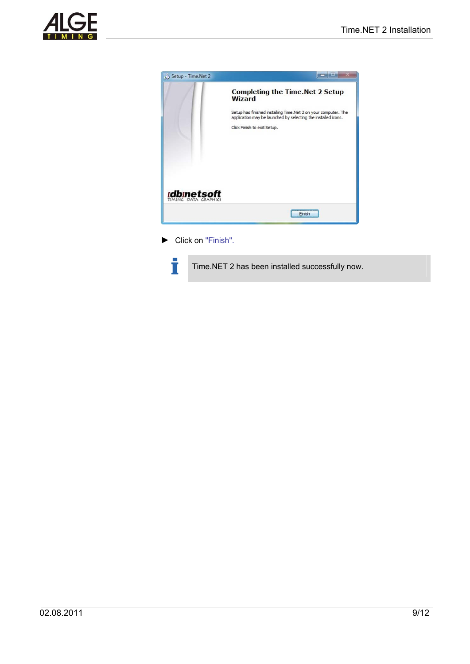![](_page_8_Picture_1.jpeg)

![](_page_8_Picture_2.jpeg)

► Click on "Finish".

Ť

Time.NET 2 has been installed successfully now.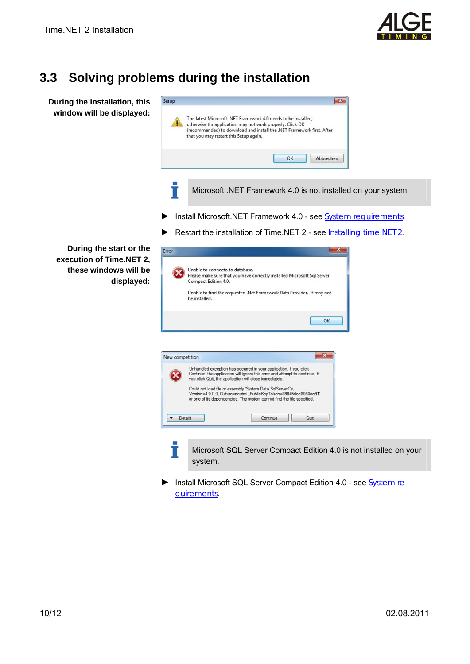![](_page_9_Picture_4.jpeg)

## **3.3 Solving problems during the installation**

T

Error

**During the installation, this window will be displayed:** 

| The latest Microsoft .NET Framework 4.0 needs to be installed,<br>otherwise thr application may not work properly. Click OK |    |           |
|-----------------------------------------------------------------------------------------------------------------------------|----|-----------|
| (recommended) to download and install the .NET Framework first. After<br>that you may restart this Setup again.             |    |           |
|                                                                                                                             |    |           |
|                                                                                                                             | OK | Abbrechen |

- Microsoft .NET Framework 4.0 is not installed on your system.
- ► Install Microsoft.NET Framework 4.0 see System requirements.
- ► Restart the installation of Time.NET 2 see Installing time.NET 2.

**During the start or the execution of Time.NET 2, these windows will be displayed:** 

![](_page_9_Picture_12.jpeg)

► Install Microsoft SQL Server Compact Edition 4.0 - see System requirements.

![](_page_9_Picture_14.jpeg)

![](_page_9_Picture_15.jpeg)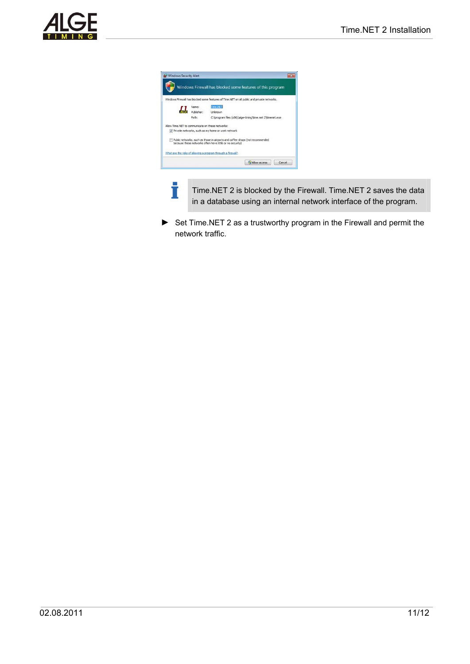![](_page_10_Picture_1.jpeg)

|            | Windows Firewall has blocked some features of Time.NET on all public and private networks.                                               |
|------------|------------------------------------------------------------------------------------------------------------------------------------------|
| Name:      | Time.NET                                                                                                                                 |
| Publisher: | Linknown                                                                                                                                 |
| Path:      | C:\program files (x86)\alge-timing\time.net 2\timenet.exe                                                                                |
|            | Allow Time, NET to communicate on these networks:                                                                                        |
|            | Private networks, such as my home or work network                                                                                        |
|            | Public networks, such as those in airports and coffee shops (not recommended<br>because these networks often have little or no security) |

İ

Time.NET 2 is blocked by the Firewall. Time.NET 2 saves the data in a database using an internal network interface of the program.

► Set Time.NET 2 as a trustworthy program in the Firewall and permit the network traffic.